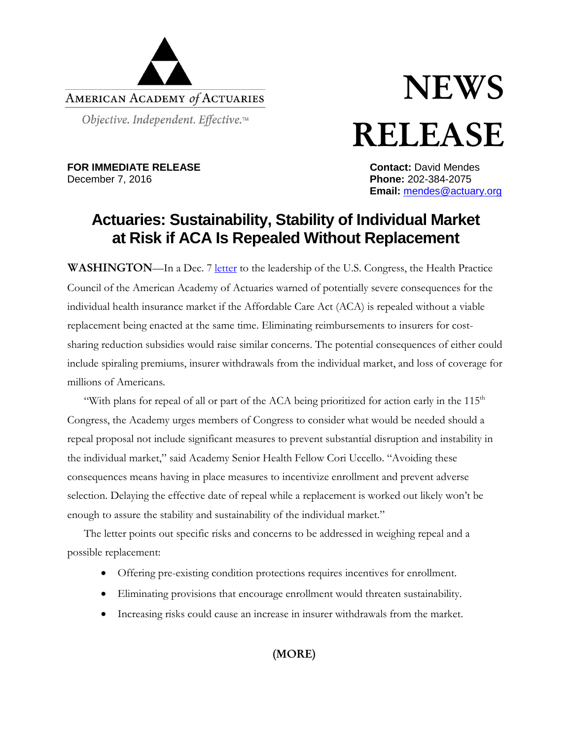

## **NEWS** RELEASE

**FOR IMMEDIATE RELEASE**<br>
December 7, 2016<br> **Phone:** 202-384-2075

**Phone: 202-384-2075 Email:** [mendes@actuary.org](mailto:mendes@actuary.org)

## **Actuaries: Sustainability, Stability of Individual Market at Risk if ACA Is Repealed Without Replacement**

WASHINGTON—In a Dec. 7 [letter](http://actuary.org/files/publications/HPC_letter_ACA_CSR_120716.pdf) to the leadership of the U.S. Congress, the Health Practice Council of the American Academy of Actuaries warned of potentially severe consequences for the individual health insurance market if the Affordable Care Act (ACA) is repealed without a viable replacement being enacted at the same time. Eliminating reimbursements to insurers for costsharing reduction subsidies would raise similar concerns. The potential consequences of either could include spiraling premiums, insurer withdrawals from the individual market, and loss of coverage for millions of Americans.

"With plans for repeal of all or part of the ACA being prioritized for action early in the  $115<sup>th</sup>$ Congress, the Academy urges members of Congress to consider what would be needed should a repeal proposal not include significant measures to prevent substantial disruption and instability in the individual market," said Academy Senior Health Fellow Cori Uccello. "Avoiding these consequences means having in place measures to incentivize enrollment and prevent adverse selection. Delaying the effective date of repeal while a replacement is worked out likely won't be enough to assure the stability and sustainability of the individual market."

The letter points out specific risks and concerns to be addressed in weighing repeal and a possible replacement:

- Offering pre-existing condition protections requires incentives for enrollment.
- Eliminating provisions that encourage enrollment would threaten sustainability.
- Increasing risks could cause an increase in insurer withdrawals from the market.

(MORE)